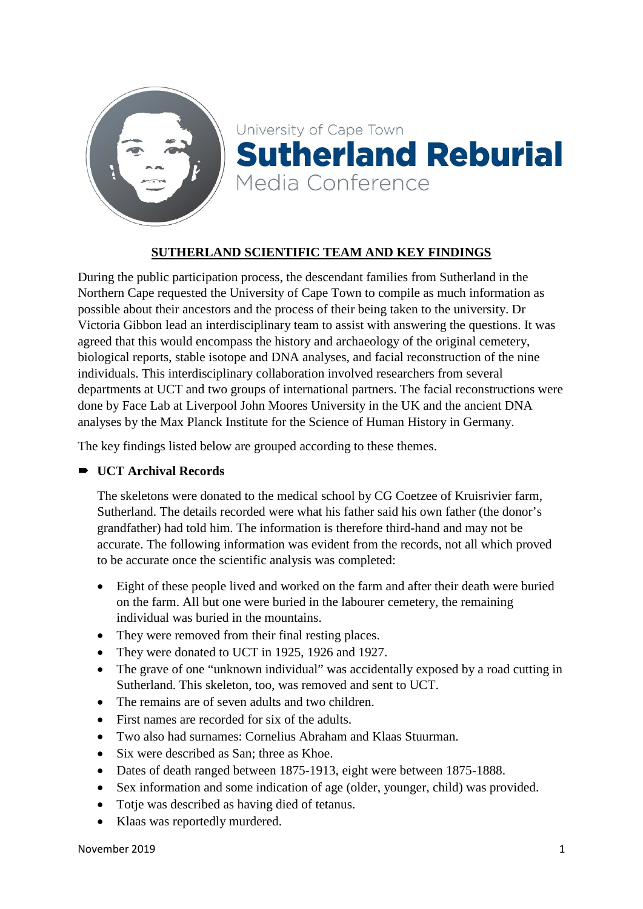



# **SUTHERLAND SCIENTIFIC TEAM AND KEY FINDINGS**

During the public participation process, the descendant families from Sutherland in the Northern Cape requested the University of Cape Town to compile as much information as possible about their ancestors and the process of their being taken to the university. Dr Victoria Gibbon lead an interdisciplinary team to assist with answering the questions. It was agreed that this would encompass the history and archaeology of the original cemetery, biological reports, stable isotope and DNA analyses, and facial reconstruction of the nine individuals. This interdisciplinary collaboration involved researchers from several departments at UCT and two groups of international partners. The facial reconstructions were done by Face Lab at Liverpool John Moores University in the UK and the ancient DNA analyses by the Max Planck Institute for the Science of Human History in Germany.

The key findings listed below are grouped according to these themes.

## **UCT Archival Records**

The skeletons were donated to the medical school by CG Coetzee of Kruisrivier farm, Sutherland. The details recorded were what his father said his own father (the donor's grandfather) had told him. The information is therefore third-hand and may not be accurate. The following information was evident from the records, not all which proved to be accurate once the scientific analysis was completed:

- Eight of these people lived and worked on the farm and after their death were buried on the farm. All but one were buried in the labourer cemetery, the remaining individual was buried in the mountains.
- They were removed from their final resting places.
- They were donated to UCT in 1925, 1926 and 1927.
- The grave of one "unknown individual" was accidentally exposed by a road cutting in Sutherland. This skeleton, too, was removed and sent to UCT.
- The remains are of seven adults and two children.
- First names are recorded for six of the adults.
- Two also had surnames: Cornelius Abraham and Klaas Stuurman.
- Six were described as San; three as Khoe.
- Dates of death ranged between 1875-1913, eight were between 1875-1888.
- Sex information and some indication of age (older, younger, child) was provided.
- Totje was described as having died of tetanus.
- Klaas was reportedly murdered.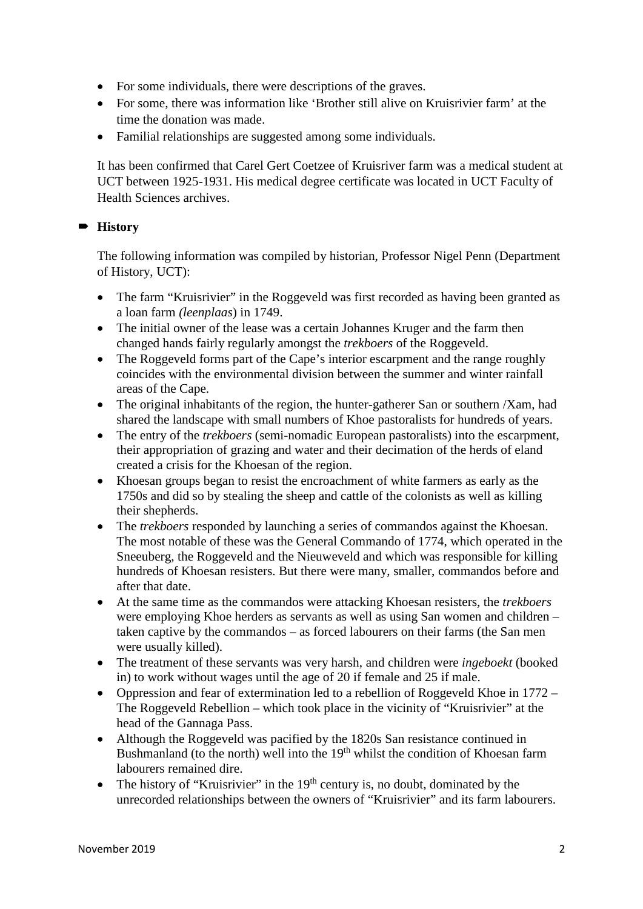- For some individuals, there were descriptions of the graves.
- For some, there was information like 'Brother still alive on Kruisrivier farm' at the time the donation was made.
- Familial relationships are suggested among some individuals.

It has been confirmed that Carel Gert Coetzee of Kruisriver farm was a medical student at UCT between 1925-1931. His medical degree certificate was located in UCT Faculty of Health Sciences archives.

# **History**

The following information was compiled by historian, Professor Nigel Penn (Department of History, UCT):

- The farm "Kruisrivier" in the Roggeveld was first recorded as having been granted as a loan farm *(leenplaas*) in 1749.
- The initial owner of the lease was a certain Johannes Kruger and the farm then changed hands fairly regularly amongst the *trekboers* of the Roggeveld.
- The Roggeveld forms part of the Cape's interior escarpment and the range roughly coincides with the environmental division between the summer and winter rainfall areas of the Cape.
- The original inhabitants of the region, the hunter-gatherer San or southern /Xam, had shared the landscape with small numbers of Khoe pastoralists for hundreds of years.
- The entry of the *trekboers* (semi-nomadic European pastoralists) into the escarpment, their appropriation of grazing and water and their decimation of the herds of eland created a crisis for the Khoesan of the region.
- Khoesan groups began to resist the encroachment of white farmers as early as the 1750s and did so by stealing the sheep and cattle of the colonists as well as killing their shepherds.
- The *trekboers* responded by launching a series of commandos against the Khoesan. The most notable of these was the General Commando of 1774, which operated in the Sneeuberg, the Roggeveld and the Nieuweveld and which was responsible for killing hundreds of Khoesan resisters. But there were many, smaller, commandos before and after that date.
- At the same time as the commandos were attacking Khoesan resisters, the *trekboers* were employing Khoe herders as servants as well as using San women and children – taken captive by the commandos – as forced labourers on their farms (the San men were usually killed).
- The treatment of these servants was very harsh, and children were *ingeboekt* (booked in) to work without wages until the age of 20 if female and 25 if male.
- Oppression and fear of extermination led to a rebellion of Roggeveld Khoe in 1772 The Roggeveld Rebellion – which took place in the vicinity of "Kruisrivier" at the head of the Gannaga Pass.
- Although the Roggeveld was pacified by the 1820s San resistance continued in Bushmanland (to the north) well into the 19<sup>th</sup> whilst the condition of Khoesan farm labourers remained dire.
- The history of "Kruisrivier" in the  $19<sup>th</sup>$  century is, no doubt, dominated by the unrecorded relationships between the owners of "Kruisrivier" and its farm labourers.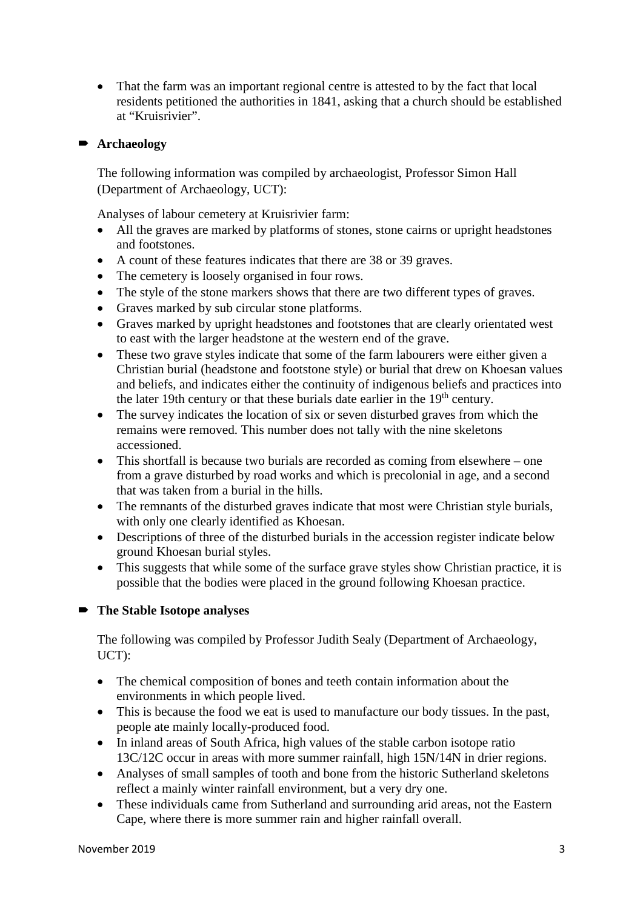• That the farm was an important regional centre is attested to by the fact that local residents petitioned the authorities in 1841, asking that a church should be established at "Kruisrivier".

#### **Archaeology**

The following information was compiled by archaeologist, Professor Simon Hall (Department of Archaeology, UCT):

Analyses of labour cemetery at Kruisrivier farm:

- All the graves are marked by platforms of stones, stone cairns or upright headstones and footstones.
- A count of these features indicates that there are 38 or 39 graves.
- The cemetery is loosely organised in four rows.
- The style of the stone markers shows that there are two different types of graves.
- Graves marked by sub circular stone platforms.
- Graves marked by upright headstones and footstones that are clearly orientated west to east with the larger headstone at the western end of the grave.
- These two grave styles indicate that some of the farm labourers were either given a Christian burial (headstone and footstone style) or burial that drew on Khoesan values and beliefs, and indicates either the continuity of indigenous beliefs and practices into the later 19th century or that these burials date earlier in the  $19<sup>th</sup>$  century.
- The survey indicates the location of six or seven disturbed graves from which the remains were removed. This number does not tally with the nine skeletons accessioned.
- This shortfall is because two burials are recorded as coming from elsewhere one from a grave disturbed by road works and which is precolonial in age, and a second that was taken from a burial in the hills.
- The remnants of the disturbed graves indicate that most were Christian style burials, with only one clearly identified as Khoesan.
- Descriptions of three of the disturbed burials in the accession register indicate below ground Khoesan burial styles.
- This suggests that while some of the surface grave styles show Christian practice, it is possible that the bodies were placed in the ground following Khoesan practice.

## **The Stable Isotope analyses**

The following was compiled by Professor Judith Sealy (Department of Archaeology, UCT):

- The chemical composition of bones and teeth contain information about the environments in which people lived.
- This is because the food we eat is used to manufacture our body tissues. In the past, people ate mainly locally-produced food.
- In inland areas of South Africa, high values of the stable carbon isotope ratio 13C/12C occur in areas with more summer rainfall, high 15N/14N in drier regions.
- Analyses of small samples of tooth and bone from the historic Sutherland skeletons reflect a mainly winter rainfall environment, but a very dry one.
- These individuals came from Sutherland and surrounding arid areas, not the Eastern Cape, where there is more summer rain and higher rainfall overall.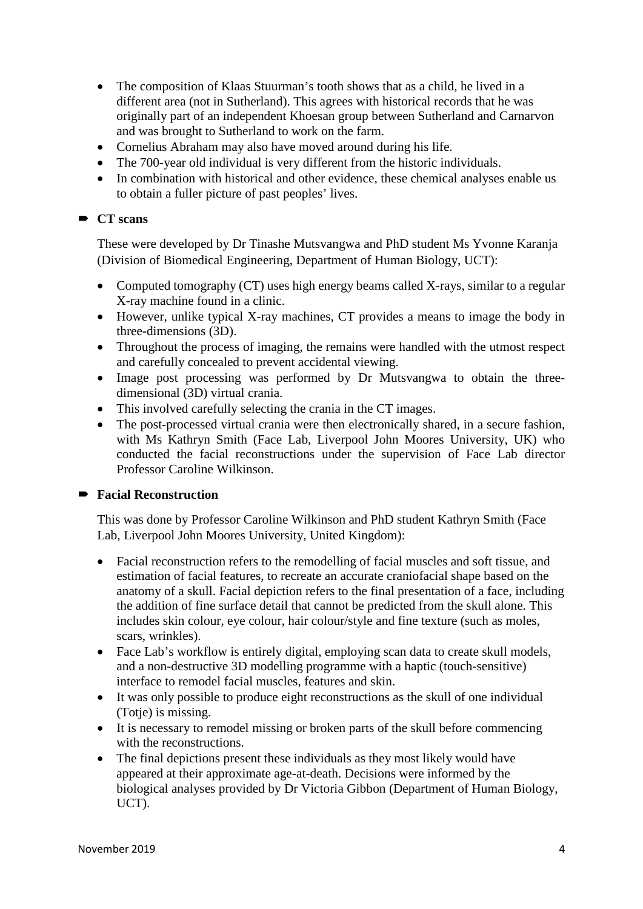- The composition of Klaas Stuurman's tooth shows that as a child, he lived in a different area (not in Sutherland). This agrees with historical records that he was originally part of an independent Khoesan group between Sutherland and Carnarvon and was brought to Sutherland to work on the farm.
- Cornelius Abraham may also have moved around during his life.
- The 700-year old individual is very different from the historic individuals.
- In combination with historical and other evidence, these chemical analyses enable us to obtain a fuller picture of past peoples' lives.

## **CT** scans

These were developed by Dr Tinashe Mutsvangwa and PhD student Ms Yvonne Karanja (Division of Biomedical Engineering, Department of Human Biology, UCT):

- Computed tomography (CT) uses high energy beams called X-rays, similar to a regular X-ray machine found in a clinic.
- However, unlike typical X-ray machines, CT provides a means to image the body in three-dimensions (3D).
- Throughout the process of imaging, the remains were handled with the utmost respect and carefully concealed to prevent accidental viewing.
- Image post processing was performed by Dr Mutsvangwa to obtain the threedimensional (3D) virtual crania.
- This involved carefully selecting the crania in the CT images.
- The post-processed virtual crania were then electronically shared, in a secure fashion, with Ms Kathryn Smith (Face Lab, Liverpool John Moores University, UK) who conducted the facial reconstructions under the supervision of Face Lab director Professor Caroline Wilkinson.

## **Facial Reconstruction**

This was done by Professor Caroline Wilkinson and PhD student Kathryn Smith (Face Lab, Liverpool John Moores University, United Kingdom):

- Facial reconstruction refers to the remodelling of facial muscles and soft tissue, and estimation of facial features, to recreate an accurate craniofacial shape based on the anatomy of a skull. Facial depiction refers to the final presentation of a face, including the addition of fine surface detail that cannot be predicted from the skull alone. This includes skin colour, eye colour, hair colour/style and fine texture (such as moles, scars, wrinkles).
- Face Lab's workflow is entirely digital, employing scan data to create skull models, and a non-destructive 3D modelling programme with a haptic (touch-sensitive) interface to remodel facial muscles, features and skin.
- It was only possible to produce eight reconstructions as the skull of one individual (Totje) is missing.
- It is necessary to remodel missing or broken parts of the skull before commencing with the reconstructions.
- The final depictions present these individuals as they most likely would have appeared at their approximate age-at-death. Decisions were informed by the biological analyses provided by Dr Victoria Gibbon (Department of Human Biology, UCT).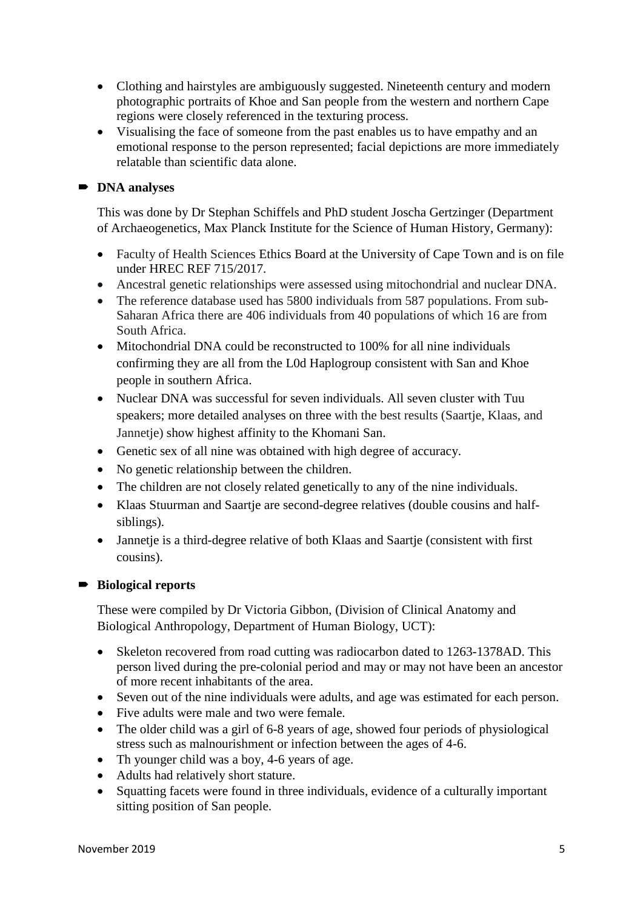- Clothing and hairstyles are ambiguously suggested. Nineteenth century and modern photographic portraits of Khoe and San people from the western and northern Cape regions were closely referenced in the texturing process.
- Visualising the face of someone from the past enables us to have empathy and an emotional response to the person represented; facial depictions are more immediately relatable than scientific data alone.

#### **DNA** analyses

This was done by Dr Stephan Schiffels and PhD student Joscha Gertzinger (Department of Archaeogenetics, Max Planck Institute for the Science of Human History, Germany):

- Faculty of Health Sciences Ethics Board at the University of Cape Town and is on file under HREC REF 715/2017.
- Ancestral genetic relationships were assessed using mitochondrial and nuclear DNA.
- The reference database used has 5800 individuals from 587 populations. From sub-Saharan Africa there are 406 individuals from 40 populations of which 16 are from South Africa.
- Mitochondrial DNA could be reconstructed to 100% for all nine individuals confirming they are all from the L0d Haplogroup consistent with San and Khoe people in southern Africa.
- Nuclear DNA was successful for seven individuals. All seven cluster with Tuu speakers; more detailed analyses on three with the best results (Saartje, Klaas, and Jannetje) show highest affinity to the Khomani San.
- Genetic sex of all nine was obtained with high degree of accuracy.
- No genetic relationship between the children.
- The children are not closely related genetically to any of the nine individuals.
- Klaas Stuurman and Saartie are second-degree relatives (double cousins and halfsiblings).
- Jannetje is a third-degree relative of both Klaas and Saartje (consistent with first cousins).

#### **Biological reports**

These were compiled by Dr Victoria Gibbon, (Division of Clinical Anatomy and Biological Anthropology, Department of Human Biology, UCT):

- Skeleton recovered from road cutting was radiocarbon dated to 1263-1378AD. This person lived during the pre-colonial period and may or may not have been an ancestor of more recent inhabitants of the area.
- Seven out of the nine individuals were adults, and age was estimated for each person.
- Five adults were male and two were female.
- The older child was a girl of 6-8 years of age, showed four periods of physiological stress such as malnourishment or infection between the ages of 4-6.
- Th younger child was a boy, 4-6 years of age.
- Adults had relatively short stature.
- Squatting facets were found in three individuals, evidence of a culturally important sitting position of San people.